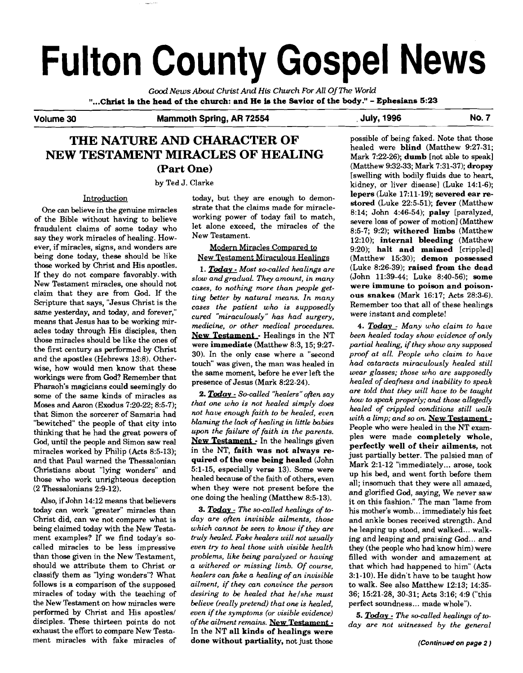# **Fulton County Gospel News**

**Good** *News About Christ And* **His** *Church For All* **Of** *The World*  **"...Christ ia the head of the church: and He Is the Savior of the body."** - **Ephesians 5:23** 

**Volume 30 Mammoth Spring, AR 72554** , **July, 1996 No. 7** 

## **THE NATURE AND CHARACTER OF NEW TESTAMENT MIRACLES OF HEALING (Part One)**

by Ted J. Clarke

of the Bible without having to believe working power of today fail to match,<br>fraudulent claims of some today who let alone exceed, the miracles of the fraudulent claims of some today who let alone exceed say they work miracles of healing. However, if miracles, signs, and wonders are being done today, these should be like those worked by Christ and His apostles. If they do not compare favorably. with New Testament miracles, one should not claim that they are from God. If the Scripture that says, "Jesus Christ is the same yesterday, and today, and forever," means that Jesus has to be working miracles today through His disciples, then those miracles should be like the ones of the first century as performed by Christ and the apostles (Hebrews 13:8). Otherwise, how would men know that these workings were from God? Remember that Pharaoh's magicians could seemingly do some of the same kinds of miracles as Moses and Aaron (Exodus 7:20-22; 8:5-7); that Simon the sorcerer of Samaria had "bewitched" the people of that city into thinking that he had the great powers of **God,** until the people and Simon saw real miracles worked by Philip (Acts 8:5-13); and that Paul warned the Thessalonian Christians about "lying wonders" and those who work unrighteous deception (2 Thessalonians 2:9-12).

Also, if John 14:12 means that believers today can work "greater" miracles than Christ did, can we not compare what is being claimed today with the New Testament examples? If we find today's socalled miracles to be less impressive than those given in the New Testament, should we attribute them to Christ or classify them as 'lying wonders"? What follows is a comparison of the supposed miracles of today with the teaching of the New Testament on how miracles were performed by Christ and His apostles/ disciples. These thirteen points do not exhaust the effort to compare New Testament miracles with fake miracles of

Introduction today, but they are enough to demon-<br>ioug in the convine miracles strate that the claims made for miracle-One can believe in the genuine miracles strate that the claims made for miracle-<br>the Bible without having to believe working power of today fail to match,

## Modern Miracles Compared to New Testament Miraculous Healings

1. **Today** - *Most so-called healings are slow andgmdual. They amount, in many cases, to nothing more than people getting better by natural means. In many cases the patient who is supposedly cured "miraculously" has had surgery, medicine, or other medical procedures.*  **New Testament - Healings in the NT** were **immediate** (Matthew 8:3, 15; 9:27- 30). In the only case where a "second touch" was given, the man was healed in the same moment, before he ever left the presence of Jesus (Mark 8:22-24).

2. Today - So-called "healers" often say *that one who is not healed simply does not have enough faith to be healed, even blaming the lack of healing in little babies upn the failure of faith in the parents.*  New Testament - In the healings given in the NT, **faith was not always required of the one being healed** (John 5:l-15, especially verse 13). Some were healed because of the faith of others, even when they were not present before the one doing the healing (Matthew 8:5-13). *3. healed because of the faith of others, even* when they were not present before the one doing the healing (Matthew 8:5-13).<br>
3. **Today** - The so-called healings of to-<br> *day are often invisible ailments, those* 

*which cannot be seen to know if they are truly healed Fake healers will not usually even try to heal those with visible health problems, like being paralyzed or having a withered or missing limb. Of course, healers can fake a healing of an invisible ailment, if they can convince the person desiring to be healed that helshe must believe (really pretend) that one is healed, even if the symptoms (or visible evidence)*   $of$  *the ailment remains.* New Testament  $\cdot$ In the NT **all kinds of healings were done without partiality,** not just those

possible of being faked. Note that those healed were **blind** (Matthew 9:27-31; Mark 7:22-26); **dumb** [not able to speak] (Matthew 9:32-33; Mark 7:31-37); **dropsy**  [swelling with bodily fluids due to heart, kidney, or liver disease] (Luke 14:l-6); **lepers** (Luke 17:ll-19); **severed ear** re**stored** (Luke 22:5-51); **fever** (Matthew 8:14; John 4:46-54); **palsy** [paralyzed, severe loss of power of motion] (Matthew 8:5-7; 9:2); **withered limbs** (Matthew 12:lO); **internal bleeding** (Matthew 9:20); **halt and maimed** [crippled] (Matthew 15:30); **demon possessed**  (Luke 8:26-39); **raised from the dead**  (John 11:39-44; Luke 8:40-56); **some were immune to poison and poisonous snakes** (Mark 16:17; Acts 28:3-6). Remember too that all of these healings were instant and complete!

*4. Todav* - *Many uvho claim to have been healed today show evidence of only partial healing, if they show any supposed proof at all. People who claim to have had cataracts miraculouslv healed still wear glasses; those who are supposedly healed of deafness and inability to speak are told that they will have to be taught how to speak properly; and those allegedly healed of crippled conditions still uxllk with a limp; and so on.* New Testament -People who were healed in the NT examples were made **completely whole, perfectly well of their ailments,** not just partially better. The palsied man of Mark 2:l-12 "immediately ... arose, took up his bed, and went forth before them all; insomuch that they were all amazed, and glorified God, saying, We never saw it on this fashion." The man "lame from his mother's womb... immediately his feet and ankle bones received strength. And he leaping up stood, and walked... walking and leaping and praising God... and they (the people who had know him) were filled with wonder and amazement at that which had happened to him" (Acts 3:l-10). He didn't have to be taught how to walk. See also Matthew 12:13; 14:35- 36; 15:21-28, 30-31; Acts 3:16; 4:9 ("this perfect soundness ... made whole").

*5. Todav* - *The so-called healings of today are not witnessed by the general*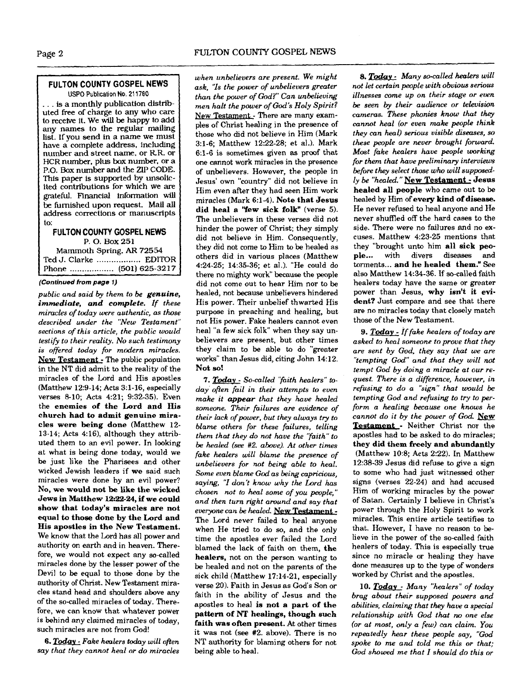### **FULTON COUNTY GOSPEL NEWS USPO Publication No.** 21 **1780**

... is a monthly publication distributed free of charge to any who care to receive it. We will be happy to add any names to the regular mailing list. If you send in a name we must have a complete address, including number and street name, or RR. or HCR number, plus **box** number, or a P.O. **Box** number and the **ZIP** CODE. This paper is supported by unsolicited contributions for which we are grateful. Financial information will **be** furnished upon request. Mail all address corrections or manuscripts to:

**FULTON COUNTY GOSPEL NEWS**  P. 0. Box 251 Mammoth Spring, **AR** 72554 Ted J. Clarke .................. EDITOR Phone .................. (501) 625-3217

#### **(Continued from page I)**

*public and said by them to be* **genuine, immediate, and complete.** *If these*   $miracles of today were authentic, as those$ *described under the "New Testament" sections of this article, the public would testify to their reality. No such testimony is offered today for modern miracles.*  **New** Testament- The public population in the NT did admit to the reality of the miracles of the Lord and His apostles (Matthew 12:9-14; Acts 3:l-16, especially verses 8-10; Acts 4:21; 9:32-35). Even the **enemies of the Lord and His church had to admit genuine miracles were being done** (Matthew 12- 13-14; Acts 4:16), although they attributed them to an evil power. In looking at what is being done today, would we be just like the Pharisees and other wicked Jewish leaders if **we** said such miracles were done by an evil power? No, **we would not be like the wicked Jews in Matthew 12:22-24, if we could show that today's miracles are not equal to those done by the Lord and His apostles in the New Testament.**  We know that the Lord has all power and authority on earth and in heaven. Therefore, we would not expect any so-called miracles done by the lesser power of the Devil to be equal to those done by the authority of Christ. New Testament miracles stand head and shoulders above any of the so-called miracles of today. Therefore, we can know that whatever power is behind any claimed miracles of today, such miracles are not from God!

*6. Todav* - *Fake healers* **tday** *will ofien say that they cannot heal or do miracles*  *when unbelievers are present. We might ask, '7s the power of unbelievers greater than the power of God?" Can unbelieving men halt the power of God\$ Holy Spirit?*  New Testament - There are many examples of Christ healing in the presence of those who did not believe in Him (Mark 3:l-6; Matthew 12:22-28; et al.). Mark 6:l-6 is sometimes given **as** proof that one cannot work miracles in the presence of unbelievers. However, the people in Jesus' own "country" did not believe in Him even after they had seen Him work miracles (Mark 6:l-4). **Note that Jesus did heal a "few sick folk"** (verse **5).**  The unbelievers in these verses did not hinder the power of Christ; they simply did not believe in Him. Consequently, they did not come to Him to be healed as others did in various places (Matthew 4:24-25; 14:35-36; et al.). "He could do there no mighty work" because the people did not come out to hear Him nor to be healed, not because unbelievers hindered His power. Their unbelief thwarted His purpose in preaching and healing, but not His power. Fake healers cannot even heal "a few sick folk" when they say unbelievers are present, but other times they claim to be able to do "greater works" than Jesus did, citing John 14:12. Not so!

**7. Todav** - *So-called 'Taith healers"* **to***day' often fail in their attempts to even make it* **appear** *that they have haled someone. Their failures are evidence of their lack ofpower, but they always try to blame others for these failures, telling them that they do not have the 'Taith" to be healed (see* **#2.** *above). At other times fake healers will blame the presence of unbelievers for not being able to heal. Some even blame God as being capricious, saying, '7 don't know why the Lord has chosen not to heal some of you people," and then turn right around and say that*  everyone can be healed. New Testament -The Lord never failed to heal anyone when He tried to do **so,** and the only time the apostles ever failed the Lord blamed the lack of faith on them. **the healers,** not on the person wanting to be healed and not on the parents of the sick child (Matthew 17:14-21, especially verse 20). Faith in Jesus as God's Son or faith in the ability of Jesus and the apostles to heal **is not a part of the pattern of NT healings, though such faith was often present.** At other times it was not (see #2. above). There is no NT authority for blaming others for not being able to heal.

8. Today - Many so-called healers will *not let certain people with obvious serious illnesses come up on their stage or even be seen by their audience or television cameras. These phonies know that they cannot heal (or even* **make** *people think they can heal) serious visible diseases, so these people are never brought forward. Most fake healers have people working for them that have preliminary interviews before they select those who will supposedly be "healed."* **pew Testament** - **Jesus healed all people** who came out to be healed by Him of **every kind of disease.**  He never refused to heal anyone and He never shuffled *off* the hard cases to the side. There were no failures and no excuses. Matthew 4:23-25 mentions that they "brought unto him **all sick peo-ple** ... with divers diseases and ple... with divers diseases and<br>torments... **and he healed them."** See also Matthew 14:34-36. If so-called faith healers today have the same or greater power than Jesus, **why isn't it evident?** Just compare and see that there are no miracles today that closely match those of the New Testament.

*9. Todav* - *if fake healers of today are asked to heal someone to prove that they are sent by God, they say that we are "tempting God" and that they will not tempt God by doing a miracle at our request. There is a difference, houever, in refusing to do a "sign" that would be tempting God and refusing to try to perform a healing because one knows he cannot do it by the power of God.* New Testament - Neither Christ nor the apostles had to be asked to do miracles; **they did them freely and abundantly**  (Matthew 10:8; Acts 2:22). In Matthew 12:38-39 Jesus did refuse to give a **sign**  to some who had just witnessed other signs (verses 22-24) and had accused Him of working miracles by the power of Satan. Certainly I believe in Christ's power through the Holy Spirit to work miracles. This entire article testifies to that. However, 1 have no reason to believe in the power of the so-called faith healers of today. This is especially true since no miracle or healing they have done measures up **to** the type of wonders worked by Christ and the apostles.

*10.* **Today** - *Many "healers" of today brag about their supposed powers and abilities, claiming that they* **have** *a special relationship with God that no one else (or at mast, only a few) can claim. You repeatedly hear these people say, "God spoke to me and told me this or that; God showed me that I should do this or*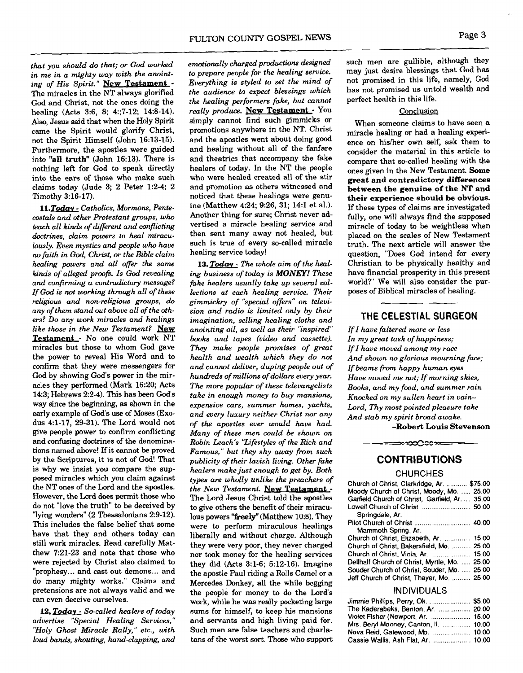*that you should* **do** *that; or* **God** *worked in me in a mighty way with the anoint*ing of His Spirit." New Testament -The miracles in the NT always glorified God and Christ, not the ones doing the healing (Acts 3:6, 8; 4:;7-12; 14:8-14). Also, Jesus said that when the Holy Spirit came the Spirit would glorify Christ, not the Spirit Himself (John 16:13-15). Furthermore, the apostles were guided into "all truth" (John 16:13). There is nothing left for God to speak directly into the ears of those who make such claims today (Jude 3; 2 Peter 1:2-4; 2 Timothy 3:16-17).

11. Today - Catholics, Mormons, Pente*costals and other Protestant groups, who teach all kinds of different and conflicting doctrines, claim powers to heal miraculously. Even mystics and people who have*   $n$ o faith in God, Christ, or the Bible claim *healing powers and all offer the same kinds* of *alleged proofi. Is* **God** *revealing and confirming a contradictory message? If* **Gai** *is rwt working through all of these religious and non-religious groups,* **do**  *ers? Do any work miracles and healings like those in the New Testament?*  Testament - No one could work NT miracles but those to whom God gave the power to reveal His Word and to confirm that they were messengers for<br>God by showing God's power in the miracles they performed (Mark 16:20; Acts 143; Hebrews 2:2-4). This has been God's way since the beginning, **as** shown in the early example of God's use of Moses (Exodus 4:1-17, 29-31). The Lord would not<br>give people power to confirm conflicting and confusing doctrines of the denominations named above! If it cannot be proved by the Scriptures, it is not of God! That is why we insist you compare the supthe NT ones of the Lord and the apostles. However, the Lord does permit those who do not "love the truth" to be deceived by "lying wonders" (2 Thessalonians 2:9-12). This includes the false belief that some have that they and others today can still work miracles. Read carefully Matthew 7:21-23 and note that those who were rejected by Christ also claimed to "prophesy... and cast out demons... and do many mighty works." Claims and can even deceive ourselves.

*12, Todav* - *So-called healers of today advertise "Special Healing Services," "Holy Ghost Miracle Rally," etc., with loud bands, shouting, hand-clapping, and*  *emdionally charged productions designed to prepare people for the healing service. Everything is styled to set the mind of the audience to expect blessings which the healing performers fake, but cannot really produce.* **pew Testament** - You simply cannot find such gimmicks or promotions anywhere in the NT. Christ and the apostles went about doing good and healing without all of the fanfare and theatrics that accompany the fake healers of today. In the NT the people who were healed created all of the stir and promotion as others witnessed and<br>noticed that these healings were genuine (Matthew 4:24; 9:26, 31; 14:l et al.). Another thing for sure; Christ never advertised a miracle healing service and then sent many away not healed, but such is true of every so-called miracle healing service today!

*13. Todav* - *The whole aim of the healing business of today is* **MONEY!** *These fake healers usually take up several collections at each healing service. Their gimmickry of "special offers" on televiany of them stand out above all of the oth- sion and radio is limited only by their*  **THE CELESTIAL SURGEON** *imagination, selling healing cloths and anointing oil, as well as their "inspired" If Z have faltered more or less books and tapes (video and cassette). They make people promises of great health and wealth which thev do not and cannot deliver, duping people out of*  contirm that they were messengers for and cannot deliver, duping people out of If beams from happy human eyes<br>God by showing God's power in the mir-hundreds of millions of dollars every year. Have moved me not; If morning *The more popular of these televangelists take in enough* **money** *to buy mansions, Kncxked on my sullen heart in vainexpensive cars, summer homes, yachts, and every luxury neither Christ nor any of the a~ostles ever would have had.* **-Robert Louis Stevenson** give people power to confirm conflicting *Many of these men could be shown on Robin Leach's "Lifestyles of the Rich and Famous," but they shy away from such publicity of their lavish living. Other fake healers make just enough to get by. Both*  the missive of the sup-<br>
posed miracles which you claim against *types are wholly unlike the preachers of* Church of Christ Clarkgidne Ar *the New Testament.* New Testament -The Lord Jesus Christ told the apostles to give others the benefit of their miraculous powers "freely" (Matthew 10:8). They were to perform miraculous healings liberally and without charge. Although they were very poor, they never charged nor took money for the healing services they did (Acts 3:l-6; 5:12-16). Imagine the apostle Paul riding a Rolls Camel or a Mercedes Donkey, all the while begging pretensions are not always valid and we the people for money to do the Lord's **INDIVIDUALS** work, while he was really pocketing large sums for himself, to keep his mansions and servants and high living paid for. Such men are false teachers and charla-<br>tans of the worst sort. Those who support

such men are gullible, although they may just desire blessings that God has not promised in this life, namely, God has not promised us untold wealth and perfect health in this life.

## Conclusion

When someone claims to have seen a miracle healing or had a healing experience on hisher own self, ask them to consider the material in this article to compare that so-called healing with the ones given in the New Testament. **Some great and contradictory differences between the genuine of the NT and**  their experience should be obvious. If these types of claims are investigated fully, one will always find the supposed miracle of today to be weightless when placed on the scales of New Testament truth. The next article will answer the question, "Does God intend for every Christian to be physically healthy and have financial prosperity in this present world?" We will also consider the purposes of Biblical miracles of healing.

*In my great task of happiness; If I have moved among my race And shown no glorious mourning face;*  - *Books, and my food, and summer rain Lord, Thy most pointed pleasure take And stab my spirit broad awake.* 

## **CONTRIBUTIONS**

≈∞ಯ೦೦೦∞

| Church of Christ, Clarkridge, Ar.  \$75.00      |
|-------------------------------------------------|
| Moody Church of Christ, Moody, Mo.  25.00       |
| Garfield Church of Christ, Garfield, Ar.  35.00 |
|                                                 |
| Springdale, Ar.                                 |
|                                                 |
| Mammoth Spring, Ar.                             |
| Church of Christ, Elizabeth, Ar.  15.00         |
| Church of Christ, Bakersfield, Mo.  25.00       |
|                                                 |
| Dellhalf Church of Christ, Myrtle, Mo.  25.00   |
| Souder Church of Christ, Souder, Mo.  25.00     |
| Jeff Church of Christ, Thayer, Mo.  25,00       |
|                                                 |

| Jimmie Phillips, Perry, Ok.  \$5.00   |  |
|---------------------------------------|--|
| The Kaderabeks, Benton, Ar.  20.00    |  |
| Violet Fisher (Newport, Ar.  15.00    |  |
| Mrs. Beryl Mooney, Canton, II.  10,00 |  |
| Nova Reid, Gatewood, Mo.  10.00       |  |
|                                       |  |